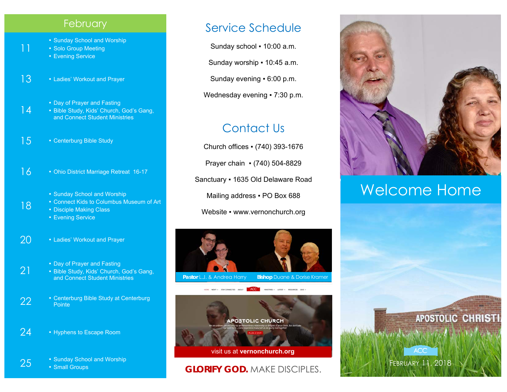#### **February**

- Sunday School and Worship
- Solo Group Meeting
- **Evening Service**

11

18

21

- 13 Ladies' Workout and Prayer
	- **Day of Prayer and Fasting**
- 14 ▪ Bible Study, Kids' Church, God's Gang, and Connect Student Ministries
- 15 Centerburg Bible Study
- 16 Ohio District Marriage Retreat 16-17
	- **Sunday School and Worship**
	- Connect Kids to Columbus Museum of Art
	- Disciple Making Class
		- **Evening Service**
- 20 Ladies' Workout and Prayer
	- **Day of Prayer and Fasting**
	- Bible Study, Kids' Church, God's Gang, and Connect Student Ministries
- 22  **Centerburg Bible Study at Centerburg**<br>Pointe
- 24 Hyphens to Escape Room
- 25  **Sunday School and Worship Small Groups**

### Service Schedule

Sunday school . 10:00 a.m.

Sunday worship ▪ 10:45 a.m.

Sunday evening ▪ 6:00 p.m.

Wednesday evening • 7:30 p.m.

## Contact Us

Church offices ▪ (740) 393-1676 Prayer chain ▪ (740) 504-8829 Sanctuary ▪ 1635 Old Delaware Road Mailing address . PO Box 688 Website • www.vernonchurch.org





#### **GLORIFY GOD.** MAKE DISCIPLES.



## Welcome Home

FEBRUARY 11, 2018

**ACC**